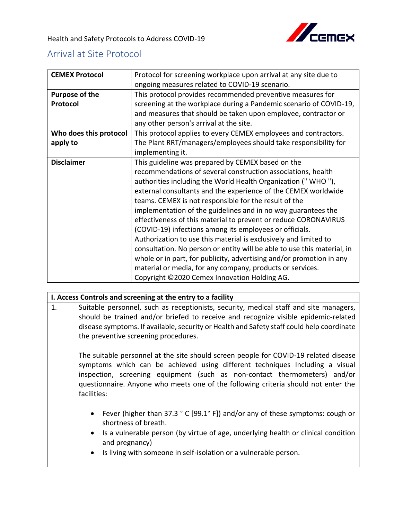## Arrival at Site Protocol

| <b>CEMEX Protocol</b>  | Protocol for screening workplace upon arrival at any site due to        |
|------------------------|-------------------------------------------------------------------------|
|                        | ongoing measures related to COVID-19 scenario.                          |
| Purpose of the         | This protocol provides recommended preventive measures for              |
| Protocol               | screening at the workplace during a Pandemic scenario of COVID-19,      |
|                        | and measures that should be taken upon employee, contractor or          |
|                        | any other person's arrival at the site.                                 |
| Who does this protocol | This protocol applies to every CEMEX employees and contractors.         |
| apply to               | The Plant RRT/managers/employees should take responsibility for         |
|                        | implementing it.                                                        |
| <b>Disclaimer</b>      | This guideline was prepared by CEMEX based on the                       |
|                        | recommendations of several construction associations, health            |
|                        | authorities including the World Health Organization ("WHO"),            |
|                        | external consultants and the experience of the CEMEX worldwide          |
|                        | teams. CEMEX is not responsible for the result of the                   |
|                        | implementation of the guidelines and in no way guarantees the           |
|                        | effectiveness of this material to prevent or reduce CORONAVIRUS         |
|                        | (COVID-19) infections among its employees or officials.                 |
|                        | Authorization to use this material is exclusively and limited to        |
|                        | consultation. No person or entity will be able to use this material, in |
|                        | whole or in part, for publicity, advertising and/or promotion in any    |
|                        | material or media, for any company, products or services.               |
|                        | Copyright ©2020 Cemex Innovation Holding AG.                            |

## **I. Access Controls and screening at the entry to a facility**

1. Suitable personnel, such as receptionists, security, medical staff and site managers, should be trained and/or briefed to receive and recognize visible epidemic-related disease symptoms. If available, security or Health and Safety staff could help coordinate the preventive screening procedures.

The suitable personnel at the site should screen people for COVID-19 related disease symptoms which can be achieved using different techniques Including a visual inspection, screening equipment (such as non-contact thermometers) and/or questionnaire. Anyone who meets one of the following criteria should not enter the facilities:

- Fever (higher than 37.3 ° C [99.1° F]) and/or any of these symptoms: cough or shortness of breath.
- Is a vulnerable person (by virtue of age, underlying health or clinical condition and pregnancy)
- Is living with someone in self-isolation or a vulnerable person.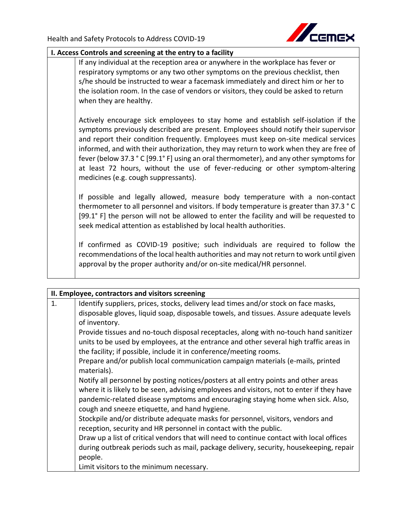

## **I. Access Controls and screening at the entry to a facility**

If any individual at the reception area or anywhere in the workplace has fever or respiratory symptoms or any two other symptoms on the previous checklist, then s/he should be instructed to wear a facemask immediately and direct him or her to the isolation room. In the case of vendors or visitors, they could be asked to return when they are healthy.

Actively encourage sick employees to stay home and establish self-isolation if the symptoms previously described are present. Employees should notify their supervisor and report their condition frequently. Employees must keep on-site medical services informed, and with their authorization, they may return to work when they are free of fever (below 37.3 ° C [99.1° F] using an oral thermometer), and any other symptoms for at least 72 hours, without the use of fever-reducing or other symptom-altering medicines (e.g. cough suppressants).

If possible and legally allowed, measure body temperature with a non-contact thermometer to all personnel and visitors. If body temperature is greater than 37.3 ° C [99.1° F] the person will not be allowed to enter the facility and will be requested to seek medical attention as established by local health authorities.

If confirmed as COVID-19 positive; such individuals are required to follow the recommendations of the local health authorities and may not return to work until given approval by the proper authority and/or on-site medical/HR personnel.

| II. Employee, contractors and visitors screening |                                                                                           |  |
|--------------------------------------------------|-------------------------------------------------------------------------------------------|--|
| 1.                                               | Identify suppliers, prices, stocks, delivery lead times and/or stock on face masks,       |  |
|                                                  | disposable gloves, liquid soap, disposable towels, and tissues. Assure adequate levels    |  |
|                                                  | of inventory.                                                                             |  |
|                                                  | Provide tissues and no-touch disposal receptacles, along with no-touch hand sanitizer     |  |
|                                                  | units to be used by employees, at the entrance and other several high traffic areas in    |  |
|                                                  | the facility; if possible, include it in conference/meeting rooms.                        |  |
|                                                  | Prepare and/or publish local communication campaign materials (e-mails, printed           |  |
|                                                  | materials).                                                                               |  |
|                                                  | Notify all personnel by posting notices/posters at all entry points and other areas       |  |
|                                                  | where it is likely to be seen, advising employees and visitors, not to enter if they have |  |
|                                                  | pandemic-related disease symptoms and encouraging staying home when sick. Also,           |  |
|                                                  | cough and sneeze etiquette, and hand hygiene.                                             |  |
|                                                  | Stockpile and/or distribute adequate masks for personnel, visitors, vendors and           |  |
|                                                  | reception, security and HR personnel in contact with the public.                          |  |
|                                                  | Draw up a list of critical vendors that will need to continue contact with local offices  |  |
|                                                  | during outbreak periods such as mail, package delivery, security, housekeeping, repair    |  |
|                                                  | people.                                                                                   |  |
|                                                  | Limit visitors to the minimum necessary.                                                  |  |